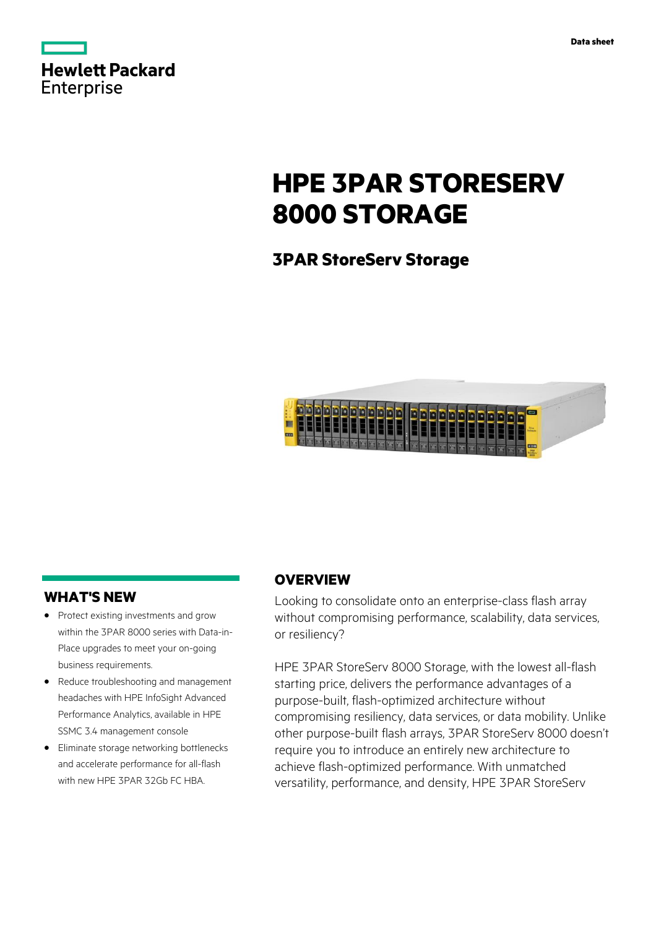|                   | <b>Hewlett Packard</b> |
|-------------------|------------------------|
| <b>Enterprise</b> |                        |

# **HPE 3PAR STORESERV 8000 STORAGE**

## **3PAR StoreServ Storage**



### **WHAT'S NEW**

- **·** Protect existing investments and grow within the 3PAR 8000 series with Data-in-Place upgrades to meet your on-going business requirements.
- **·** Reduce troubleshooting and management headaches with HPE InfoSight Advanced Performance Analytics, available in HPE SSMC 3.4 management console
- **·** Eliminate storage networking bottlenecks and accelerate performance for all-flash with new HPF 3PAR 32Gh FC HRA

### **OVERVIEW**

Looking to consolidate onto an enterprise-class flash array without compromising performance, scalability, data services, or resiliency?

HPE 3PAR StoreServ 8000 Storage, with the lowest all-flash starting price, delivers the performance advantages of a purpose-built, flash-optimized architecture without compromising resiliency, data services, or data mobility. Unlike other purpose-built flash arrays, 3PAR StoreServ 8000 doesn't require you to introduce an entirely new architecture to achieve flash-optimized performance. With unmatched versatility, performance, and density, HPE 3PAR StoreServ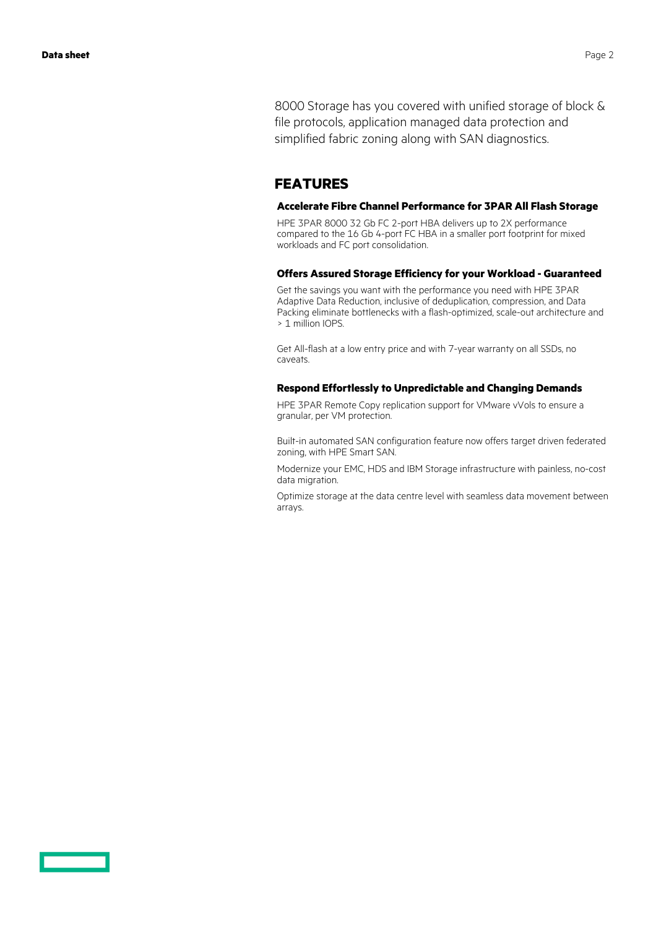8000 Storage has you covered with unified storage of block & file protocols, application managed data protection and simplified fabric zoning along with SAN diagnostics.

### **FEATURES**

### **Accelerate Fibre Channel Performance for 3PAR All Flash Storage**

HPE 3PAR 8000 32 Gb FC 2-port HBA delivers up to 2X performance compared to the 16 Gb 4-port FC HBA in a smaller port footprint for mixed workloads and FC port consolidation.

### **Offers Assured Storage Efficiency for your Workload - Guaranteed**

Get the savings you want with the performance you need with HPE 3PAR Adaptive Data Reduction, inclusive of deduplication, compression, and Data Packing eliminate bottlenecks with a flash-optimized, scale-out architecture and > 1 million IOPS.

Get All-flash at a low entry price and with 7-year warranty on all SSDs, no caveats.

### **Respond Effortlessly to Unpredictable and Changing Demands**

HPE 3PAR Remote Copy replication support for VMware vVols to ensure a granular, per VM protection.

Built-in automated SAN configuration feature now offers target driven federated zoning, with HPE Smart SAN.

Modernize your EMC, HDS and IBM Storage infrastructure with painless, no-cost data migration.

Optimize storage at the data centre level with seamless data movement between arrays.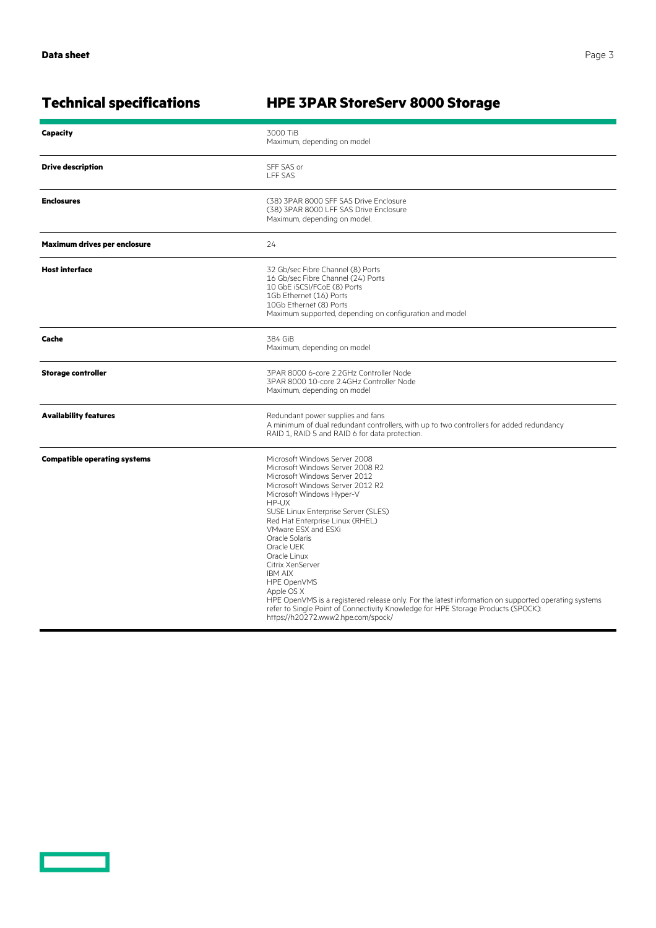<u>and the second part of the second part of the second part of the second part of the second part of the second part of the second part of the second part of the second part of the second part of the second part of the seco</u>

## **Technical specifications HPE 3PAR StoreServ 8000 Storage**

| <b>Capacity</b>                     | 3000 TiB<br>Maximum, depending on model                                                                                                                                                                                                                                                                                                                                                                                                                                                                                                                                                                                            |  |
|-------------------------------------|------------------------------------------------------------------------------------------------------------------------------------------------------------------------------------------------------------------------------------------------------------------------------------------------------------------------------------------------------------------------------------------------------------------------------------------------------------------------------------------------------------------------------------------------------------------------------------------------------------------------------------|--|
| <b>Drive description</b>            | SFF SAS or<br><b>LFF SAS</b>                                                                                                                                                                                                                                                                                                                                                                                                                                                                                                                                                                                                       |  |
| <b>Enclosures</b>                   | (38) 3PAR 8000 SFF SAS Drive Enclosure<br>(38) 3PAR 8000 LFF SAS Drive Enclosure<br>Maximum, depending on model.                                                                                                                                                                                                                                                                                                                                                                                                                                                                                                                   |  |
| Maximum drives per enclosure        | 24                                                                                                                                                                                                                                                                                                                                                                                                                                                                                                                                                                                                                                 |  |
| <b>Host interface</b>               | 32 Gb/sec Fibre Channel (8) Ports<br>16 Gb/sec Fibre Channel (24) Ports<br>10 GbE iSCSI/FCoE (8) Ports<br>1Gb Ethernet (16) Ports<br>10Gb Ethernet (8) Ports<br>Maximum supported, depending on configuration and model                                                                                                                                                                                                                                                                                                                                                                                                            |  |
| Cache                               | 384 GiB<br>Maximum, depending on model                                                                                                                                                                                                                                                                                                                                                                                                                                                                                                                                                                                             |  |
| <b>Storage controller</b>           | 3PAR 8000 6-core 2.2GHz Controller Node<br>3PAR 8000 10-core 2.4GHz Controller Node<br>Maximum, depending on model                                                                                                                                                                                                                                                                                                                                                                                                                                                                                                                 |  |
| <b>Availability features</b>        | Redundant power supplies and fans<br>A minimum of dual redundant controllers, with up to two controllers for added redundancy<br>RAID 1, RAID 5 and RAID 6 for data protection.                                                                                                                                                                                                                                                                                                                                                                                                                                                    |  |
| <b>Compatible operating systems</b> | Microsoft Windows Server 2008<br>Microsoft Windows Server 2008 R2<br>Microsoft Windows Server 2012<br>Microsoft Windows Server 2012 R2<br>Microsoft Windows Hyper-V<br>HP-UX<br>SUSE Linux Enterprise Server (SLES)<br>Red Hat Enterprise Linux (RHEL)<br>VMware ESX and ESXi<br>Oracle Solaris<br>Oracle UEK<br>Oracle Linux<br>Citrix XenServer<br><b>IBM AIX</b><br>HPE OpenVMS<br>Apple OS X<br>HPE OpenVMS is a registered release only. For the latest information on supported operating systems<br>refer to Single Point of Connectivity Knowledge for HPE Storage Products (SPOCK):<br>https://h20272.www2.hpe.com/spock/ |  |